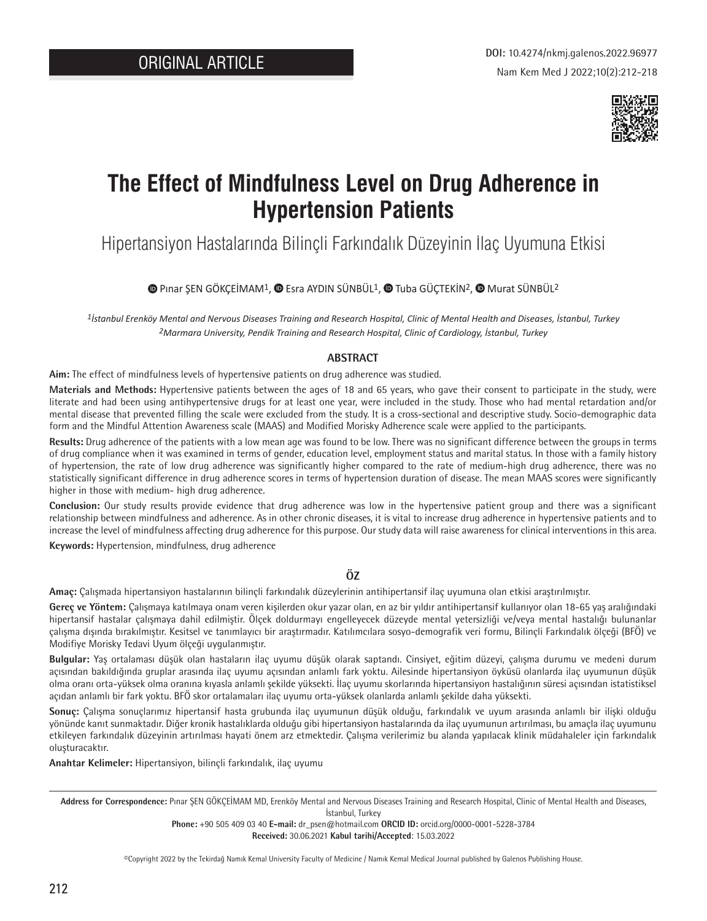

# **The Effect of Mindfulness Level on Drug Adherence in Hypertension Patients**

Hipertansiyon Hastalarında Bilinçli Farkındalık Düzeyinin İlaç Uyumuna Etkisi

 $\bullet$  [P](https://orcid.org/0000-0001-5228-3784)inarŞEN GÖKÇEİMAM<sup>1</sup>,  $\bullet$  Esra AYDIN SÜNBÜL<sup>1</sup>,  $\bullet$  Tuba GÜÇTEKİN<sup>2</sup>,  $\bullet$  Murat SÜNBÜL<sup>2</sup>

*1İstanbul Erenköy Mental and Nervous Diseases Training and Research Hospital, Clinic of Mental Health and Diseases, İstanbul, Turkey 2Marmara University, Pendik Training and Research Hospital, Clinic of Cardiology, İstanbul, Turkey*

#### **ABSTRACT**

**Aim:** The effect of mindfulness levels of hypertensive patients on drug adherence was studied.

**Materials and Methods:** Hypertensive patients between the ages of 18 and 65 years, who gave their consent to participate in the study, were literate and had been using antihypertensive drugs for at least one year, were included in the study. Those who had mental retardation and/or mental disease that prevented filling the scale were excluded from the study. It is a cross-sectional and descriptive study. Socio-demographic data form and the Mindful Attention Awareness scale (MAAS) and Modified Morisky Adherence scale were applied to the participants.

**Results:** Drug adherence of the patients with a low mean age was found to be low. There was no significant difference between the groups in terms of drug compliance when it was examined in terms of gender, education level, employment status and marital status. In those with a family history of hypertension, the rate of low drug adherence was significantly higher compared to the rate of medium-high drug adherence, there was no statistically significant difference in drug adherence scores in terms of hypertension duration of disease. The mean MAAS scores were significantly higher in those with medium- high drug adherence.

**Conclusion:** Our study results provide evidence that drug adherence was low in the hypertensive patient group and there was a significant relationship between mindfulness and adherence. As in other chronic diseases, it is vital to increase drug adherence in hypertensive patients and to increase the level of mindfulness affecting drug adherence for this purpose. Our study data will raise awareness for clinical interventions in this area.

**Keywords:** Hypertension, mindfulness, drug adherence

#### **ÖZ**

**Amaç:** Çalışmada hipertansiyon hastalarının bilinçli farkındalık düzeylerinin antihipertansif ilaç uyumuna olan etkisi araştırılmıştır.

**Gereç ve Yöntem:** Çalışmaya katılmaya onam veren kişilerden okur yazar olan, en az bir yıldır antihipertansif kullanıyor olan 18-65 yaş aralığındaki hipertansif hastalar çalışmaya dahil edilmiştir. Ölçek doldurmayı engelleyecek düzeyde mental yetersizliği ve/veya mental hastalığı bulunanlar çalışma dışında bırakılmıştır. Kesitsel ve tanımlayıcı bir araştırmadır. Katılımcılara sosyo-demografik veri formu, Bilinçli Farkındalık ölçeği (BFÖ) ve Modifiye Morisky Tedavi Uyum ölçeği uygulanmıştır.

**Bulgular:** Yaş ortalaması düşük olan hastaların ilaç uyumu düşük olarak saptandı. Cinsiyet, eğitim düzeyi, çalışma durumu ve medeni durum açısından bakıldığında gruplar arasında ilaç uyumu açısından anlamlı fark yoktu. Ailesinde hipertansiyon öyküsü olanlarda ilaç uyumunun düşük olma oranı orta-yüksek olma oranına kıyasla anlamlı şekilde yüksekti. İlaç uyumu skorlarında hipertansiyon hastalığının süresi açısından istatistiksel açıdan anlamlı bir fark yoktu. BFÖ skor ortalamaları ilaç uyumu orta-yüksek olanlarda anlamlı şekilde daha yüksekti.

**Sonuç:** Çalışma sonuçlarımız hipertansif hasta grubunda ilaç uyumunun düşük olduğu, farkındalık ve uyum arasında anlamlı bir ilişki olduğu yönünde kanıt sunmaktadır. Diğer kronik hastalıklarda olduğu gibi hipertansiyon hastalarında da ilaç uyumunun artırılması, bu amaçla ilaç uyumunu etkileyen farkındalık düzeyinin artırılması hayati önem arz etmektedir. Çalışma verilerimiz bu alanda yapılacak klinik müdahaleler için farkındalık oluşturacaktır.

**Anahtar Kelimeler:** Hipertansiyon, bilinçli farkındalık, ilaç uyumu

**Address for Correspondence:** Pınar ŞEN GÖKÇEİMAM MD, Erenköy Mental and Nervous Diseases Training and Research Hospital, Clinic of Mental Health and Diseases, İstanbul, Turkey

> **Phone:** +90 505 409 03 40 **E-mail:** dr\_psen@hotmail.com **ORCID ID:** orcid.org/0000-0001-5228-3784 **Received:** 30.06.2021 **Kabul tarihi/Accepted**: 15.03.2022

©Copyright 2022 by the Tekirdağ Namık Kemal University Faculty of Medicine / Namık Kemal Medical Journal published by Galenos Publishing House.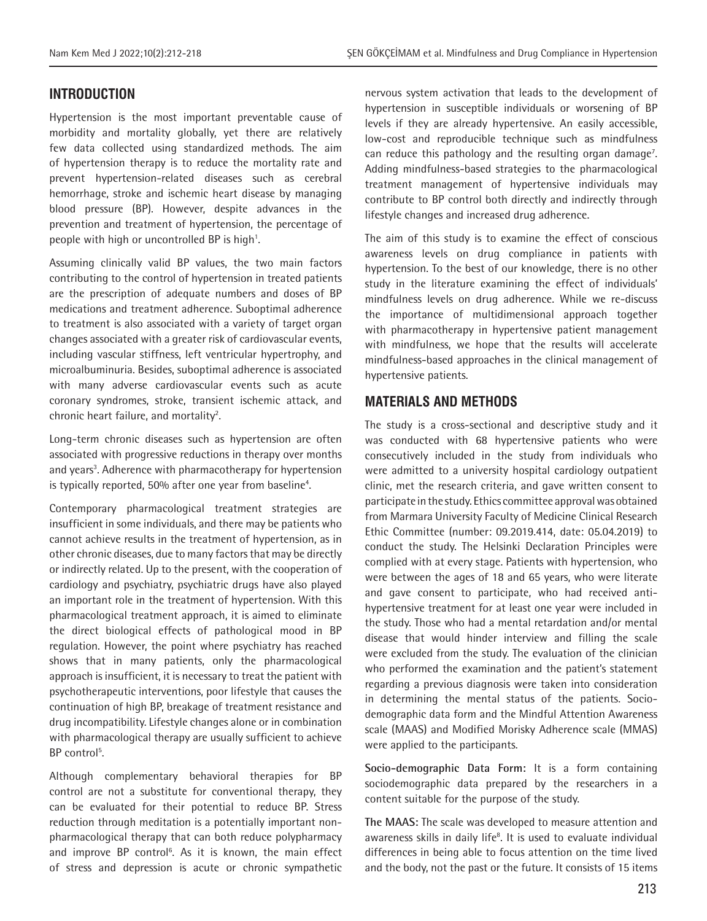# **INTRODUCTION**

Hypertension is the most important preventable cause of morbidity and mortality globally, yet there are relatively few data collected using standardized methods. The aim of hypertension therapy is to reduce the mortality rate and prevent hypertension-related diseases such as cerebral hemorrhage, stroke and ischemic heart disease by managing blood pressure (BP). However, despite advances in the prevention and treatment of hypertension, the percentage of people with high or uncontrolled BP is high<sup>1</sup>.

Assuming clinically valid BP values, the two main factors contributing to the control of hypertension in treated patients are the prescription of adequate numbers and doses of BP medications and treatment adherence. Suboptimal adherence to treatment is also associated with a variety of target organ changes associated with a greater risk of cardiovascular events, including vascular stiffness, left ventricular hypertrophy, and microalbuminuria. Besides, suboptimal adherence is associated with many adverse cardiovascular events such as acute coronary syndromes, stroke, transient ischemic attack, and chronic heart failure, and mortality<sup>2</sup>.

Long-term chronic diseases such as hypertension are often associated with progressive reductions in therapy over months and years<sup>3</sup>. Adherence with pharmacotherapy for hypertension is typically reported, 50% after one year from baseline<sup>4</sup>.

Contemporary pharmacological treatment strategies are insufficient in some individuals, and there may be patients who cannot achieve results in the treatment of hypertension, as in other chronic diseases, due to many factors that may be directly or indirectly related. Up to the present, with the cooperation of cardiology and psychiatry, psychiatric drugs have also played an important role in the treatment of hypertension. With this pharmacological treatment approach, it is aimed to eliminate the direct biological effects of pathological mood in BP regulation. However, the point where psychiatry has reached shows that in many patients, only the pharmacological approach is insufficient, it is necessary to treat the patient with psychotherapeutic interventions, poor lifestyle that causes the continuation of high BP, breakage of treatment resistance and drug incompatibility. Lifestyle changes alone or in combination with pharmacological therapy are usually sufficient to achieve BP control<sup>5</sup>.

Although complementary behavioral therapies for BP control are not a substitute for conventional therapy, they can be evaluated for their potential to reduce BP. Stress reduction through meditation is a potentially important nonpharmacological therapy that can both reduce polypharmacy and improve BP control<sup>6</sup>. As it is known, the main effect of stress and depression is acute or chronic sympathetic nervous system activation that leads to the development of hypertension in susceptible individuals or worsening of BP levels if they are already hypertensive. An easily accessible, low-cost and reproducible technique such as mindfulness can reduce this pathology and the resulting organ damage<sup>7</sup>. Adding mindfulness-based strategies to the pharmacological treatment management of hypertensive individuals may contribute to BP control both directly and indirectly through lifestyle changes and increased drug adherence.

The aim of this study is to examine the effect of conscious awareness levels on drug compliance in patients with hypertension. To the best of our knowledge, there is no other study in the literature examining the effect of individuals' mindfulness levels on drug adherence. While we re-discuss the importance of multidimensional approach together with pharmacotherapy in hypertensive patient management with mindfulness, we hope that the results will accelerate mindfulness-based approaches in the clinical management of hypertensive patients.

# **MATERIALS AND METHODS**

The study is a cross-sectional and descriptive study and it was conducted with 68 hypertensive patients who were consecutively included in the study from individuals who were admitted to a university hospital cardiology outpatient clinic, met the research criteria, and gave written consent to participate in the study. Ethics committee approval was obtained from Marmara University Faculty of Medicine Clinical Research Ethic Committee (number: 09.2019.414, date: 05.04.2019) to conduct the study. The Helsinki Declaration Principles were complied with at every stage. Patients with hypertension, who were between the ages of 18 and 65 years, who were literate and gave consent to participate, who had received antihypertensive treatment for at least one year were included in the study. Those who had a mental retardation and/or mental disease that would hinder interview and filling the scale were excluded from the study. The evaluation of the clinician who performed the examination and the patient's statement regarding a previous diagnosis were taken into consideration in determining the mental status of the patients. Sociodemographic data form and the Mindful Attention Awareness scale (MAAS) and Modified Morisky Adherence scale (MMAS) were applied to the participants.

**Socio-demographic Data Form:** It is a form containing sociodemographic data prepared by the researchers in a content suitable for the purpose of the study.

**The MAAS:** The scale was developed to measure attention and awareness skills in daily life<sup>8</sup>. It is used to evaluate individual differences in being able to focus attention on the time lived and the body, not the past or the future. It consists of 15 items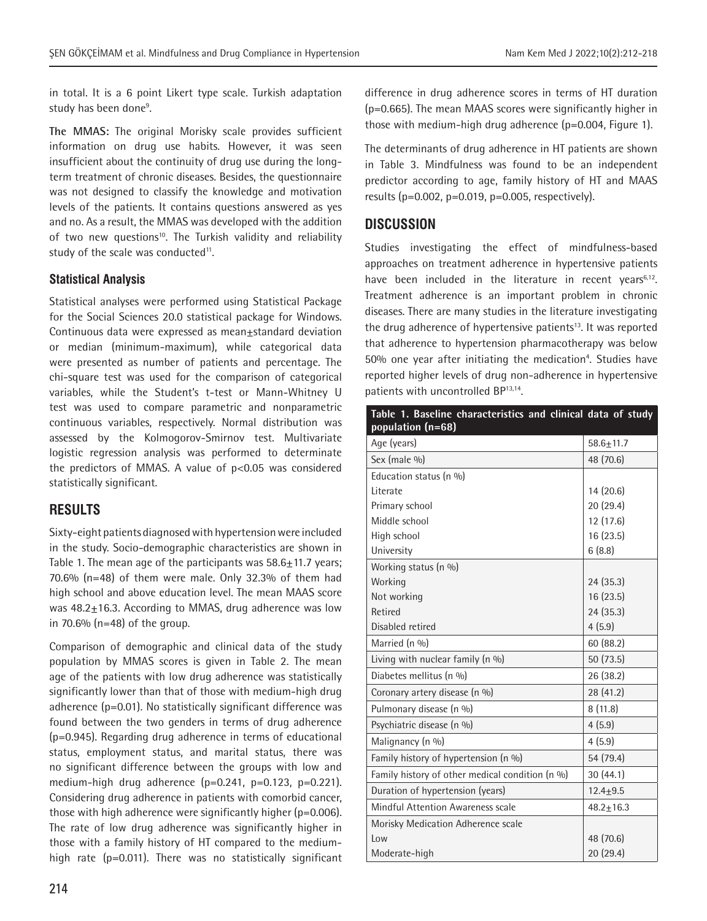in total. It is a 6 point Likert type scale. Turkish adaptation study has been done<sup>9</sup>.

**The MMAS:** The original Morisky scale provides sufficient information on drug use habits. However, it was seen insufficient about the continuity of drug use during the longterm treatment of chronic diseases. Besides, the questionnaire was not designed to classify the knowledge and motivation levels of the patients. It contains questions answered as yes and no. As a result, the MMAS was developed with the addition of two new questions<sup>10</sup>. The Turkish validity and reliability study of the scale was conducted<sup>11</sup>.

### **Statistical Analysis**

Statistical analyses were performed using Statistical Package for the Social Sciences 20.0 statistical package for Windows. Continuous data were expressed as mean±standard deviation or median (minimum-maximum), while categorical data were presented as number of patients and percentage. The chi-square test was used for the comparison of categorical variables, while the Student's t-test or Mann-Whitney U test was used to compare parametric and nonparametric continuous variables, respectively. Normal distribution was assessed by the Kolmogorov-Smirnov test. Multivariate logistic regression analysis was performed to determinate the predictors of MMAS. A value of  $p<0.05$  was considered statistically significant.

# **RESULTS**

Sixty-eight patients diagnosed with hypertension were included in the study. Socio-demographic characteristics are shown in Table 1. The mean age of the participants was  $58.6 \pm 11.7$  years; 70.6% (n=48) of them were male. Only 32.3% of them had high school and above education level. The mean MAAS score was  $48.2 \pm 16.3$ . According to MMAS, drug adherence was low in 70.6% ( $n=48$ ) of the group.

Comparison of demographic and clinical data of the study population by MMAS scores is given in Table 2. The mean age of the patients with low drug adherence was statistically significantly lower than that of those with medium-high drug adherence (p=0.01). No statistically significant difference was found between the two genders in terms of drug adherence (p=0.945). Regarding drug adherence in terms of educational status, employment status, and marital status, there was no significant difference between the groups with low and medium-high drug adherence  $(p=0.241, p=0.123, p=0.221)$ . Considering drug adherence in patients with comorbid cancer, those with high adherence were significantly higher (p=0.006). The rate of low drug adherence was significantly higher in those with a family history of HT compared to the mediumhigh rate (p=0.011). There was no statistically significant

difference in drug adherence scores in terms of HT duration (p=0.665). The mean MAAS scores were significantly higher in those with medium-high drug adherence (p=0.004, Figure 1).

The determinants of drug adherence in HT patients are shown in Table 3. Mindfulness was found to be an independent predictor according to age, family history of HT and MAAS results ( $p=0.002$ ,  $p=0.019$ ,  $p=0.005$ , respectively).

## **DISCUSSION**

Studies investigating the effect of mindfulness-based approaches on treatment adherence in hypertensive patients have been included in the literature in recent years<sup>6,12</sup>. Treatment adherence is an important problem in chronic diseases. There are many studies in the literature investigating the drug adherence of hypertensive patients<sup>13</sup>. It was reported that adherence to hypertension pharmacotherapy was below 50% one year after initiating the medication<sup>4</sup>. Studies have reported higher levels of drug non-adherence in hypertensive patients with uncontrolled BP13,14.

| Table 1. Baseline characteristics and clinical data of study<br>population (n=68) |                 |
|-----------------------------------------------------------------------------------|-----------------|
| Age (years)                                                                       | $58.6 \pm 11.7$ |
| Sex (male %)                                                                      | 48 (70.6)       |
| Education status (n %)                                                            |                 |
| Literate                                                                          | 14 (20.6)       |
| Primary school                                                                    | 20 (29.4)       |
| Middle school                                                                     | 12 (17.6)       |
| High school                                                                       | 16 (23.5)       |
| University                                                                        | 6(8.8)          |
| Working status (n %)                                                              |                 |
| Working                                                                           | 24 (35.3)       |
| Not working                                                                       | 16 (23.5)       |
| Retired                                                                           | 24(35.3)        |
| Disabled retired                                                                  | 4(5.9)          |
| Married (n %)                                                                     | 60(88.2)        |
| Living with nuclear family (n %)                                                  | 50 (73.5)       |
| Diabetes mellitus (n %)                                                           | 26 (38.2)       |
| Coronary artery disease (n %)                                                     | 28 (41.2)       |
| Pulmonary disease (n %)                                                           | 8(11.8)         |
| Psychiatric disease (n %)                                                         | 4(5.9)          |
| Malignancy (n %)                                                                  | 4(5.9)          |
| Family history of hypertension (n %)                                              | 54 (79.4)       |
| Family history of other medical condition (n %)                                   | 30(44.1)        |
| Duration of hypertension (years)                                                  | $12.4 + 9.5$    |
| Mindful Attention Awareness scale                                                 | $48.2 \pm 16.3$ |
| Morisky Medication Adherence scale                                                |                 |
| low                                                                               | 48 (70.6)       |
| Moderate-high                                                                     | 20 (29.4)       |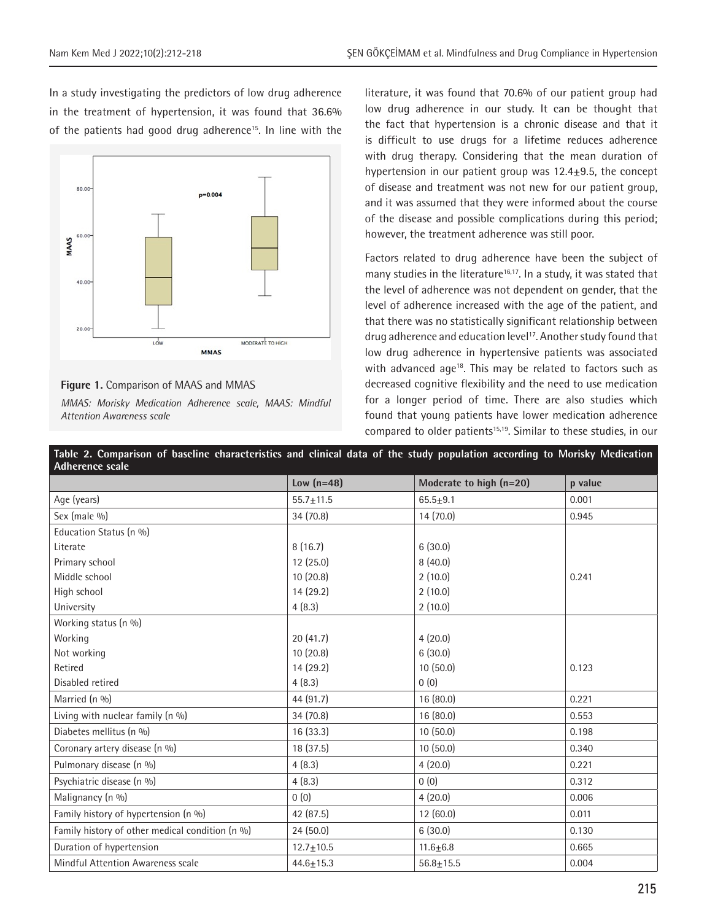In a study investigating the predictors of low drug adherence in the treatment of hypertension, it was found that 36.6% of the patients had good drug adherence<sup>15</sup>. In line with the



#### **Figure 1.** Comparison of MAAS and MMAS

*MMAS: Morisky Medication Adherence scale, MAAS: Mindful Attention Awareness scale*

literature, it was found that 70.6% of our patient group had low drug adherence in our study. It can be thought that the fact that hypertension is a chronic disease and that it is difficult to use drugs for a lifetime reduces adherence with drug therapy. Considering that the mean duration of hypertension in our patient group was  $12.4 \pm 9.5$ , the concept of disease and treatment was not new for our patient group, and it was assumed that they were informed about the course of the disease and possible complications during this period; however, the treatment adherence was still poor.

Factors related to drug adherence have been the subject of many studies in the literature<sup>16,17</sup>. In a study, it was stated that the level of adherence was not dependent on gender, that the level of adherence increased with the age of the patient, and that there was no statistically significant relationship between drug adherence and education level<sup>17</sup>. Another study found that low drug adherence in hypertensive patients was associated with advanced age<sup>18</sup>. This may be related to factors such as decreased cognitive flexibility and the need to use medication for a longer period of time. There are also studies which found that young patients have lower medication adherence compared to older patients<sup>15,19</sup>. Similar to these studies, in our

| Table 2. Comparison of baseline characteristics and clinical data of the study population according to Morisky Medication<br><b>Adherence scale</b> |                 |                         |         |  |
|-----------------------------------------------------------------------------------------------------------------------------------------------------|-----------------|-------------------------|---------|--|
|                                                                                                                                                     | Low $(n=48)$    | Moderate to high (n=20) | p value |  |
| Age (years)                                                                                                                                         | $55.7 \pm 11.5$ | $65.5 + 9.1$            | 0.001   |  |
| Sex (male %)                                                                                                                                        | 34 (70.8)       | 14(70.0)                | 0.945   |  |
| Education Status (n %)                                                                                                                              |                 |                         |         |  |
| Literate                                                                                                                                            | 8(16.7)         | 6(30.0)                 |         |  |
| Primary school                                                                                                                                      | 12(25.0)        | 8(40.0)                 |         |  |
| Middle school                                                                                                                                       | 10(20.8)        | 2(10.0)                 | 0.241   |  |
| High school                                                                                                                                         | 14 (29.2)       | 2(10.0)                 |         |  |
| University                                                                                                                                          | 4(8.3)          | 2(10.0)                 |         |  |
| Working status (n %)                                                                                                                                |                 |                         |         |  |
| Working                                                                                                                                             | 20(41.7)        | 4(20.0)                 |         |  |
| Not working                                                                                                                                         | 10(20.8)        | 6(30.0)                 |         |  |
| Retired                                                                                                                                             | 14(29.2)        | 10(50.0)                | 0.123   |  |
| Disabled retired                                                                                                                                    | 4(8.3)          | 0(0)                    |         |  |
| Married (n %)                                                                                                                                       | 44 (91.7)       | 16 (80.0)               | 0.221   |  |
| Living with nuclear family (n %)                                                                                                                    | 34(70.8)        | 16(80.0)                | 0.553   |  |
| Diabetes mellitus (n %)                                                                                                                             | 16 (33.3)       | 10(50.0)                | 0.198   |  |
| Coronary artery disease (n %)                                                                                                                       | 18 (37.5)       | 10(50.0)                | 0.340   |  |
| Pulmonary disease (n %)                                                                                                                             | 4(8.3)          | 4(20.0)                 | 0.221   |  |
| Psychiatric disease (n %)                                                                                                                           | 4(8.3)          | 0(0)                    | 0.312   |  |
| Malignancy (n %)                                                                                                                                    | 0(0)            | 4(20.0)                 | 0.006   |  |
| Family history of hypertension (n %)                                                                                                                | 42 (87.5)       | 12(60.0)                | 0.011   |  |
| Family history of other medical condition (n %)                                                                                                     | 24 (50.0)       | 6(30.0)                 | 0.130   |  |
| Duration of hypertension                                                                                                                            | $12.7 \pm 10.5$ | $11.6 \pm 6.8$          | 0.665   |  |
| Mindful Attention Awareness scale                                                                                                                   | $44.6 \pm 15.3$ | $56.8 + 15.5$           | 0.004   |  |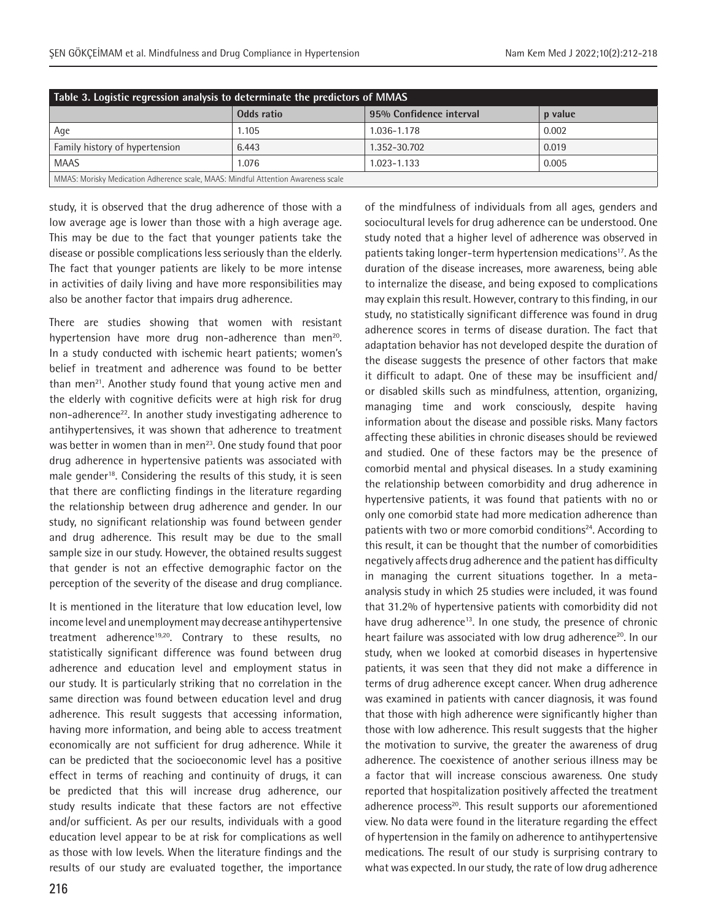| Table 3. Logistic regression analysis to determinate the predictors of MMAS       |            |                         |         |  |  |
|-----------------------------------------------------------------------------------|------------|-------------------------|---------|--|--|
|                                                                                   | Odds ratio | 95% Confidence interval | p value |  |  |
| Age                                                                               | 1.105      | 1.036-1.178             | 0.002   |  |  |
| Family history of hypertension                                                    | 6.443      | 1.352-30.702            | 0.019   |  |  |
| <b>MAAS</b>                                                                       | 1.076      | $1.023 - 1.133$         | 0.005   |  |  |
| MMAS: Morisky Medication Adherence scale, MAAS: Mindful Attention Awareness scale |            |                         |         |  |  |

study, it is observed that the drug adherence of those with a low average age is lower than those with a high average age. This may be due to the fact that younger patients take the disease or possible complications less seriously than the elderly. The fact that younger patients are likely to be more intense in activities of daily living and have more responsibilities may also be another factor that impairs drug adherence.

There are studies showing that women with resistant hypertension have more drug non-adherence than men<sup>20</sup>. In a study conducted with ischemic heart patients; women's belief in treatment and adherence was found to be better than men<sup>21</sup>. Another study found that young active men and the elderly with cognitive deficits were at high risk for drug non-adherence<sup>22</sup>. In another study investigating adherence to antihypertensives, it was shown that adherence to treatment was better in women than in men<sup>23</sup>. One study found that poor drug adherence in hypertensive patients was associated with male gender<sup>18</sup>. Considering the results of this study, it is seen that there are conflicting findings in the literature regarding the relationship between drug adherence and gender. In our study, no significant relationship was found between gender and drug adherence. This result may be due to the small sample size in our study. However, the obtained results suggest that gender is not an effective demographic factor on the perception of the severity of the disease and drug compliance.

It is mentioned in the literature that low education level, low income level and unemployment may decrease antihypertensive treatment adherence<sup>19,20</sup>. Contrary to these results, no statistically significant difference was found between drug adherence and education level and employment status in our study. It is particularly striking that no correlation in the same direction was found between education level and drug adherence. This result suggests that accessing information, having more information, and being able to access treatment economically are not sufficient for drug adherence. While it can be predicted that the socioeconomic level has a positive effect in terms of reaching and continuity of drugs, it can be predicted that this will increase drug adherence, our study results indicate that these factors are not effective and/or sufficient. As per our results, individuals with a good education level appear to be at risk for complications as well as those with low levels. When the literature findings and the results of our study are evaluated together, the importance of the mindfulness of individuals from all ages, genders and sociocultural levels for drug adherence can be understood. One study noted that a higher level of adherence was observed in patients taking longer-term hypertension medications<sup>17</sup>. As the duration of the disease increases, more awareness, being able to internalize the disease, and being exposed to complications may explain this result. However, contrary to this finding, in our study, no statistically significant difference was found in drug adherence scores in terms of disease duration. The fact that adaptation behavior has not developed despite the duration of the disease suggests the presence of other factors that make it difficult to adapt. One of these may be insufficient and/ or disabled skills such as mindfulness, attention, organizing, managing time and work consciously, despite having information about the disease and possible risks. Many factors affecting these abilities in chronic diseases should be reviewed and studied. One of these factors may be the presence of comorbid mental and physical diseases. In a study examining the relationship between comorbidity and drug adherence in hypertensive patients, it was found that patients with no or only one comorbid state had more medication adherence than patients with two or more comorbid conditions<sup>24</sup>. According to this result, it can be thought that the number of comorbidities negatively affects drug adherence and the patient has difficulty in managing the current situations together. In a metaanalysis study in which 25 studies were included, it was found that 31.2% of hypertensive patients with comorbidity did not have drug adherence<sup>13</sup>. In one study, the presence of chronic heart failure was associated with low drug adherence<sup>20</sup>. In our study, when we looked at comorbid diseases in hypertensive patients, it was seen that they did not make a difference in terms of drug adherence except cancer. When drug adherence was examined in patients with cancer diagnosis, it was found that those with high adherence were significantly higher than those with low adherence. This result suggests that the higher the motivation to survive, the greater the awareness of drug adherence. The coexistence of another serious illness may be a factor that will increase conscious awareness. One study reported that hospitalization positively affected the treatment adherence process<sup>20</sup>. This result supports our aforementioned view. No data were found in the literature regarding the effect of hypertension in the family on adherence to antihypertensive medications. The result of our study is surprising contrary to what was expected. In our study, the rate of low drug adherence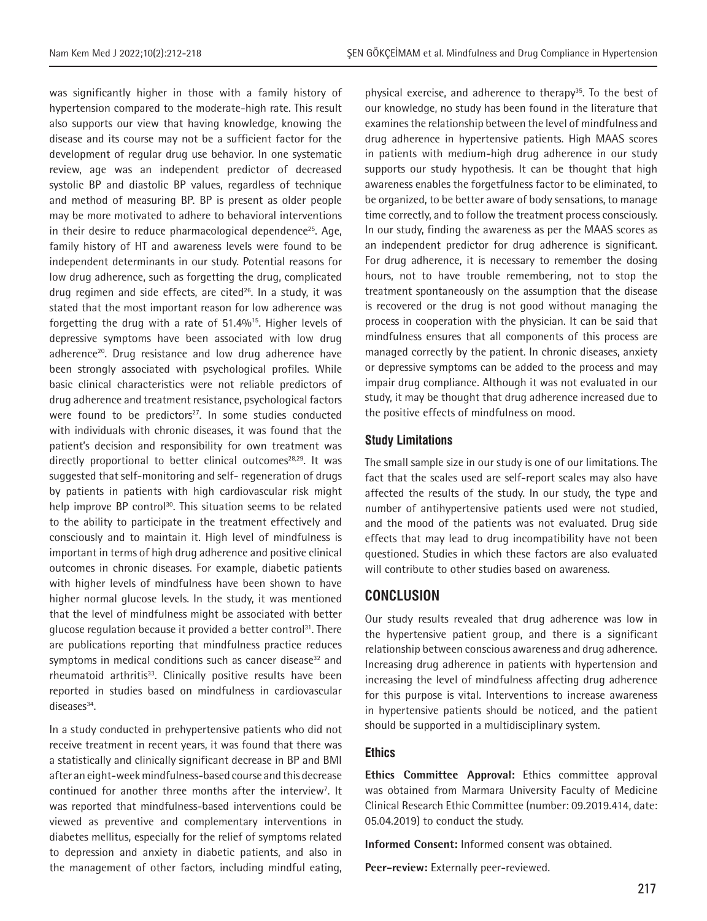was significantly higher in those with a family history of hypertension compared to the moderate-high rate. This result also supports our view that having knowledge, knowing the disease and its course may not be a sufficient factor for the development of regular drug use behavior. In one systematic review, age was an independent predictor of decreased systolic BP and diastolic BP values, regardless of technique and method of measuring BP. BP is present as older people may be more motivated to adhere to behavioral interventions in their desire to reduce pharmacological dependence<sup>25</sup>. Age, family history of HT and awareness levels were found to be independent determinants in our study. Potential reasons for low drug adherence, such as forgetting the drug, complicated drug regimen and side effects, are cited<sup>26</sup>. In a study, it was stated that the most important reason for low adherence was forgetting the drug with a rate of 51.4%15. Higher levels of depressive symptoms have been associated with low drug adherence<sup>20</sup>. Drug resistance and low drug adherence have been strongly associated with psychological profiles. While basic clinical characteristics were not reliable predictors of drug adherence and treatment resistance, psychological factors were found to be predictors $27$ . In some studies conducted with individuals with chronic diseases, it was found that the patient's decision and responsibility for own treatment was directly proportional to better clinical outcomes $28,29$ . It was suggested that self-monitoring and self- regeneration of drugs by patients in patients with high cardiovascular risk might help improve BP control<sup>30</sup>. This situation seems to be related to the ability to participate in the treatment effectively and consciously and to maintain it. High level of mindfulness is important in terms of high drug adherence and positive clinical outcomes in chronic diseases. For example, diabetic patients with higher levels of mindfulness have been shown to have higher normal glucose levels. In the study, it was mentioned that the level of mindfulness might be associated with better glucose regulation because it provided a better control<sup>31</sup>. There are publications reporting that mindfulness practice reduces symptoms in medical conditions such as cancer disease<sup>32</sup> and rheumatoid arthritis<sup>33</sup>. Clinically positive results have been reported in studies based on mindfulness in cardiovascular  $d$ iseases $34$ .

In a study conducted in prehypertensive patients who did not receive treatment in recent years, it was found that there was a statistically and clinically significant decrease in BP and BMI after an eight-week mindfulness-based course and this decrease continued for another three months after the interview<sup>7</sup>. It was reported that mindfulness-based interventions could be viewed as preventive and complementary interventions in diabetes mellitus, especially for the relief of symptoms related to depression and anxiety in diabetic patients, and also in the management of other factors, including mindful eating, physical exercise, and adherence to therapy<sup>35</sup>. To the best of our knowledge, no study has been found in the literature that examines the relationship between the level of mindfulness and drug adherence in hypertensive patients. High MAAS scores in patients with medium-high drug adherence in our study supports our study hypothesis. It can be thought that high awareness enables the forgetfulness factor to be eliminated, to be organized, to be better aware of body sensations, to manage time correctly, and to follow the treatment process consciously. In our study, finding the awareness as per the MAAS scores as an independent predictor for drug adherence is significant. For drug adherence, it is necessary to remember the dosing hours, not to have trouble remembering, not to stop the treatment spontaneously on the assumption that the disease is recovered or the drug is not good without managing the process in cooperation with the physician. It can be said that mindfulness ensures that all components of this process are managed correctly by the patient. In chronic diseases, anxiety or depressive symptoms can be added to the process and may impair drug compliance. Although it was not evaluated in our study, it may be thought that drug adherence increased due to the positive effects of mindfulness on mood.

#### **Study Limitations**

The small sample size in our study is one of our limitations. The fact that the scales used are self-report scales may also have affected the results of the study. In our study, the type and number of antihypertensive patients used were not studied, and the mood of the patients was not evaluated. Drug side effects that may lead to drug incompatibility have not been questioned. Studies in which these factors are also evaluated will contribute to other studies based on awareness.

# **CONCLUSION**

Our study results revealed that drug adherence was low in the hypertensive patient group, and there is a significant relationship between conscious awareness and drug adherence. Increasing drug adherence in patients with hypertension and increasing the level of mindfulness affecting drug adherence for this purpose is vital. Interventions to increase awareness in hypertensive patients should be noticed, and the patient should be supported in a multidisciplinary system.

#### **Ethics**

**Ethics Committee Approval:** Ethics committee approval was obtained from Marmara University Faculty of Medicine Clinical Research Ethic Committee (number: 09.2019.414, date: 05.04.2019) to conduct the study.

**Informed Consent:** Informed consent was obtained.

**Peer-review:** Externally peer-reviewed.